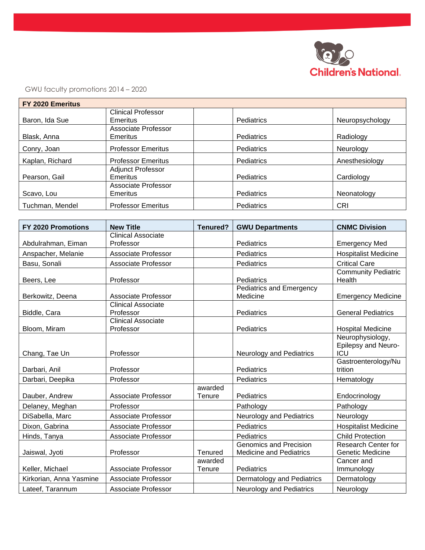

GWU faculty promotions 2014 – 2020

| FY 2020 Emeritus |                           |                   |                 |
|------------------|---------------------------|-------------------|-----------------|
|                  | <b>Clinical Professor</b> |                   |                 |
| Baron, Ida Sue   | Emeritus                  | Pediatrics        | Neuropsychology |
|                  | Associate Professor       |                   |                 |
| Blask, Anna      | Emeritus                  | <b>Pediatrics</b> | Radiology       |
| Conry, Joan      | <b>Professor Emeritus</b> | Pediatrics        | Neurology       |
| Kaplan, Richard  | <b>Professor Emeritus</b> | Pediatrics        | Anesthesiology  |
|                  | <b>Adjunct Professor</b>  |                   |                 |
| Pearson, Gail    | Emeritus                  | Pediatrics        | Cardiology      |
|                  | Associate Professor       |                   |                 |
| Scavo, Lou       | Emeritus                  | Pediatrics        | Neonatology     |
| Tuchman, Mendel  | <b>Professor Emeritus</b> | Pediatrics        | CRI             |

| <b>FY 2020 Promotions</b> | <b>New Title</b>           | Tenured? | <b>GWU Departments</b>          | <b>CNMC Division</b>        |
|---------------------------|----------------------------|----------|---------------------------------|-----------------------------|
|                           | <b>Clinical Associate</b>  |          |                                 |                             |
| Abdulrahman, Eiman        | Professor                  |          | Pediatrics                      | <b>Emergency Med</b>        |
| Anspacher, Melanie        | <b>Associate Professor</b> |          | Pediatrics                      | <b>Hospitalist Medicine</b> |
| Basu, Sonali              | Associate Professor        |          | Pediatrics                      | <b>Critical Care</b>        |
|                           |                            |          |                                 | <b>Community Pediatric</b>  |
| Beers, Lee                | Professor                  |          | Pediatrics                      | Health                      |
|                           |                            |          | Pediatrics and Emergency        |                             |
| Berkowitz, Deena          | Associate Professor        |          | Medicine                        | <b>Emergency Medicine</b>   |
|                           | <b>Clinical Associate</b>  |          |                                 |                             |
| Biddle, Cara              | Professor                  |          | Pediatrics                      | <b>General Pediatrics</b>   |
|                           | <b>Clinical Associate</b>  |          |                                 |                             |
| Bloom, Miram              | Professor                  |          | Pediatrics                      | <b>Hospital Medicine</b>    |
|                           |                            |          |                                 | Neurophysiology,            |
|                           |                            |          |                                 | Epilepsy and Neuro-         |
| Chang, Tae Un             | Professor                  |          | <b>Neurology and Pediatrics</b> | ICU                         |
|                           |                            |          |                                 | Gastroenterology/Nu         |
| Darbari, Anil             | Professor                  |          | Pediatrics                      | trition                     |
| Darbari, Deepika          | Professor                  |          | Pediatrics                      | Hematology                  |
|                           |                            | awarded  |                                 |                             |
| Dauber, Andrew            | <b>Associate Professor</b> | Tenure   | Pediatrics                      | Endocrinology               |
| Delaney, Meghan           | Professor                  |          | Pathology                       | Pathology                   |
| DiSabella, Marc           | <b>Associate Professor</b> |          | Neurology and Pediatrics        | Neurology                   |
| Dixon, Gabrina            | Associate Professor        |          | Pediatrics                      | <b>Hospitalist Medicine</b> |
| Hinds, Tanya              | <b>Associate Professor</b> |          | Pediatrics                      | <b>Child Protection</b>     |
|                           |                            |          | <b>Genomics and Precision</b>   | <b>Research Center for</b>  |
| Jaiswal, Jyoti            | Professor                  | Tenured  | <b>Medicine and Pediatrics</b>  | Genetic Medicine            |
|                           |                            | awarded  |                                 | Cancer and                  |
| Keller, Michael           | Associate Professor        | Tenure   | Pediatrics                      | Immunology                  |
| Kirkorian, Anna Yasmine   | <b>Associate Professor</b> |          | Dermatology and Pediatrics      | Dermatology                 |
| Lateef, Tarannum          | <b>Associate Professor</b> |          | <b>Neurology and Pediatrics</b> | Neurology                   |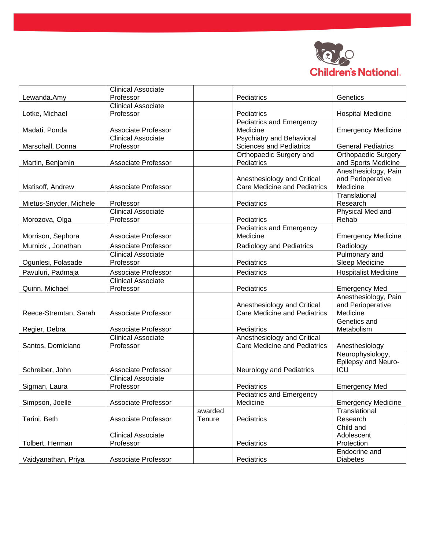

|                        | <b>Clinical Associate</b>  |            |                                     |                             |
|------------------------|----------------------------|------------|-------------------------------------|-----------------------------|
| Lewanda.Amy            | Professor                  |            | Pediatrics                          | Genetics                    |
|                        | <b>Clinical Associate</b>  |            |                                     |                             |
| Lotke, Michael         | Professor                  |            | Pediatrics                          | <b>Hospital Medicine</b>    |
|                        |                            |            | <b>Pediatrics and Emergency</b>     |                             |
| Madati, Ponda          | <b>Associate Professor</b> |            | Medicine                            | <b>Emergency Medicine</b>   |
|                        | <b>Clinical Associate</b>  |            | <b>Psychiatry and Behavioral</b>    |                             |
| Marschall, Donna       | Professor                  |            | <b>Sciences and Pediatrics</b>      | <b>General Pediatrics</b>   |
|                        |                            |            | Orthopaedic Surgery and             | Orthopaedic Surgery         |
| Martin, Benjamin       | <b>Associate Professor</b> |            | Pediatrics                          | and Sports Medicine         |
|                        |                            |            |                                     | Anesthesiology, Pain        |
|                        |                            |            | Anesthesiology and Critical         | and Perioperative           |
| Matisoff, Andrew       | Associate Professor        |            | <b>Care Medicine and Pediatrics</b> | Medicine                    |
|                        |                            |            |                                     | Translational               |
| Mietus-Snyder, Michele | Professor                  |            | Pediatrics                          | Research                    |
|                        | <b>Clinical Associate</b>  |            |                                     | Physical Med and            |
| Morozova, Olga         | Professor                  |            | Pediatrics                          | Rehab                       |
|                        |                            |            | Pediatrics and Emergency            |                             |
| Morrison, Sephora      | <b>Associate Professor</b> |            | Medicine                            | <b>Emergency Medicine</b>   |
| Murnick, Jonathan      | <b>Associate Professor</b> |            | Radiology and Pediatrics            | Radiology                   |
|                        | <b>Clinical Associate</b>  |            |                                     | Pulmonary and               |
| Ogunlesi, Folasade     | Professor                  |            | Pediatrics                          | Sleep Medicine              |
| Pavuluri, Padmaja      | Associate Professor        | Pediatrics |                                     | <b>Hospitalist Medicine</b> |
|                        | <b>Clinical Associate</b>  |            |                                     |                             |
| Quinn, Michael         | Professor                  |            | Pediatrics                          | <b>Emergency Med</b>        |
|                        |                            |            |                                     | Anesthesiology, Pain        |
|                        |                            |            | Anesthesiology and Critical         | and Perioperative           |
| Reece-Stremtan, Sarah  | Associate Professor        |            | <b>Care Medicine and Pediatrics</b> | Medicine                    |
|                        |                            |            |                                     | Genetics and                |
| Regier, Debra          | Associate Professor        |            | Pediatrics                          | Metabolism                  |
|                        | <b>Clinical Associate</b>  |            | Anesthesiology and Critical         |                             |
| Santos, Domiciano      | Professor                  |            | <b>Care Medicine and Pediatrics</b> | Anesthesiology              |
|                        |                            |            |                                     | Neurophysiology,            |
|                        |                            |            |                                     | Epilepsy and Neuro-         |
| Schreiber, John        | Associate Professor        |            | <b>Neurology and Pediatrics</b>     | ICU                         |
|                        | <b>Clinical Associate</b>  |            |                                     |                             |
| Sigman, Laura          | Professor                  |            | Pediatrics                          | <b>Emergency Med</b>        |
|                        |                            |            | <b>Pediatrics and Emergency</b>     |                             |
| Simpson, Joelle        | <b>Associate Professor</b> |            | Medicine                            | <b>Emergency Medicine</b>   |
|                        |                            | awarded    |                                     | Translational               |
| Tarini, Beth           | Associate Professor        | Tenure     | Pediatrics                          | Research                    |
|                        |                            |            |                                     | Child and                   |
|                        | <b>Clinical Associate</b>  |            |                                     | Adolescent                  |
| Tolbert, Herman        | Professor                  |            | Pediatrics                          | Protection                  |
|                        |                            |            |                                     | Endocrine and               |
| Vaidyanathan, Priya    | Associate Professor        |            | Pediatrics                          | <b>Diabetes</b>             |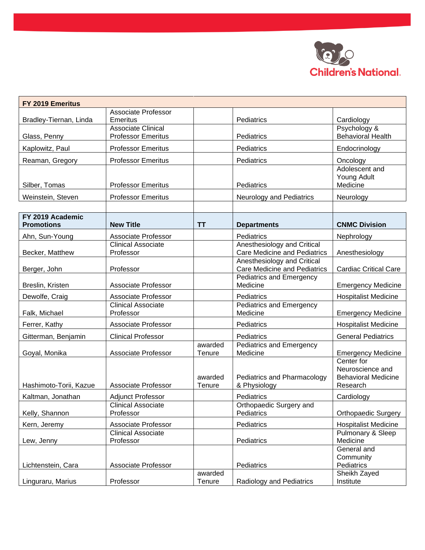

| FY 2019 Emeritus                      |                                                        |                   |                                                                    |                                                                          |
|---------------------------------------|--------------------------------------------------------|-------------------|--------------------------------------------------------------------|--------------------------------------------------------------------------|
| Bradley-Tiernan, Linda                | <b>Associate Professor</b><br><b>Emeritus</b>          |                   | Pediatrics                                                         | Cardiology                                                               |
| Glass, Penny                          | <b>Associate Clinical</b><br><b>Professor Emeritus</b> |                   | Pediatrics                                                         | Psychology &<br><b>Behavioral Health</b>                                 |
| Kaplowitz, Paul                       | <b>Professor Emeritus</b>                              |                   | Pediatrics                                                         | Endocrinology                                                            |
| Reaman, Gregory                       | <b>Professor Emeritus</b>                              |                   | Pediatrics                                                         | Oncology                                                                 |
| Silber, Tomas                         | <b>Professor Emeritus</b>                              |                   | Pediatrics                                                         | Adolescent and<br>Young Adult<br>Medicine                                |
| Weinstein, Steven                     | <b>Professor Emeritus</b>                              |                   | <b>Neurology and Pediatrics</b>                                    | Neurology                                                                |
|                                       |                                                        |                   |                                                                    |                                                                          |
| FY 2019 Academic<br><b>Promotions</b> | <b>New Title</b>                                       | <b>TT</b>         | <b>Departments</b>                                                 | <b>CNMC Division</b>                                                     |
| Ahn, Sun-Young                        | Associate Professor                                    |                   | Pediatrics                                                         | Nephrology                                                               |
| Becker, Matthew                       | <b>Clinical Associate</b><br>Professor                 |                   | Anesthesiology and Critical<br><b>Care Medicine and Pediatrics</b> | Anesthesiology                                                           |
| Berger, John                          | Professor                                              |                   | Anesthesiology and Critical<br><b>Care Medicine and Pediatrics</b> | <b>Cardiac Critical Care</b>                                             |
| Breslin, Kristen                      | <b>Associate Professor</b>                             |                   | Pediatrics and Emergency<br>Medicine                               | <b>Emergency Medicine</b>                                                |
| Dewolfe, Craig                        | <b>Associate Professor</b>                             |                   | Pediatrics                                                         | <b>Hospitalist Medicine</b>                                              |
| Falk, Michael                         | <b>Clinical Associate</b><br>Professor                 |                   | <b>Pediatrics and Emergency</b><br>Medicine                        | <b>Emergency Medicine</b>                                                |
| Ferrer, Kathy                         | <b>Associate Professor</b>                             |                   | Pediatrics                                                         | <b>Hospitalist Medicine</b>                                              |
| Gitterman, Benjamin                   | <b>Clinical Professor</b>                              |                   | Pediatrics                                                         | <b>General Pediatrics</b>                                                |
| Goyal, Monika                         | <b>Associate Professor</b>                             | awarded<br>Tenure | <b>Pediatrics and Emergency</b><br>Medicine                        | <b>Emergency Medicine</b>                                                |
| Hashimoto-Torii, Kazue                | <b>Associate Professor</b>                             | awarded<br>Tenure | Pediatrics and Pharmacology<br>& Physiology                        | Center for<br>Neuroscience and<br><b>Behavioral Medicine</b><br>Research |
| Kaltman, Jonathan                     | <b>Adjunct Professor</b>                               |                   | Pediatrics                                                         | Cardiology                                                               |
| Kelly, Shannon                        | <b>Clinical Associate</b><br>Professor                 |                   | Orthopaedic Surgery and<br>Pediatrics                              | <b>Orthopaedic Surgery</b>                                               |
| Kern, Jeremy                          | Associate Professor                                    |                   | Pediatrics                                                         | <b>Hospitalist Medicine</b>                                              |
| Lew, Jenny                            | <b>Clinical Associate</b><br>Professor                 |                   | Pediatrics                                                         | Pulmonary & Sleep<br>Medicine                                            |
| Lichtenstein, Cara                    | Associate Professor                                    |                   | Pediatrics                                                         | General and<br>Community<br>Pediatrics                                   |
|                                       |                                                        | awarded           |                                                                    | Sheikh Zayed                                                             |
| Linguraru, Marius                     | Professor                                              | Tenure            | Radiology and Pediatrics                                           | Institute                                                                |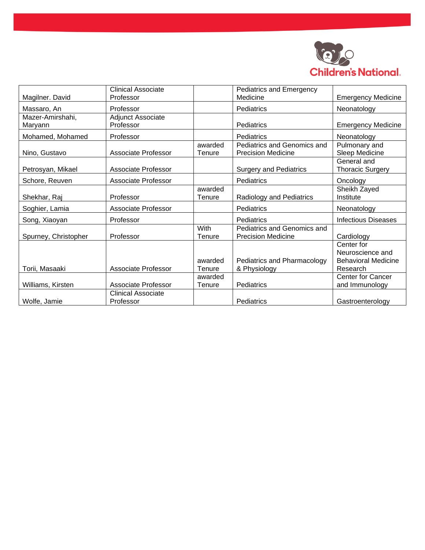

|                      | <b>Clinical Associate</b> |         | Pediatrics and Emergency      |                            |
|----------------------|---------------------------|---------|-------------------------------|----------------------------|
| Magilner. David      | Professor                 |         | Medicine                      | <b>Emergency Medicine</b>  |
| Massaro, An          | Professor                 |         | Pediatrics<br>Neonatology     |                            |
| Mazer-Amirshahi,     | Adjunct Associate         |         |                               |                            |
| Maryann              | Professor                 |         | Pediatrics                    | <b>Emergency Medicine</b>  |
| Mohamed, Mohamed     | Professor                 |         | Pediatrics                    | Neonatology                |
|                      |                           | awarded | Pediatrics and Genomics and   | Pulmonary and              |
| Nino, Gustavo        | Associate Professor       | Tenure  | <b>Precision Medicine</b>     | Sleep Medicine             |
|                      |                           |         |                               | General and                |
| Petrosyan, Mikael    | Associate Professor       |         | <b>Surgery and Pediatrics</b> | <b>Thoracic Surgery</b>    |
| Schore, Reuven       | Associate Professor       |         | Pediatrics                    | Oncology                   |
|                      |                           | awarded |                               | Sheikh Zayed               |
| Shekhar, Raj         | Professor                 | Tenure  | Radiology and Pediatrics      | Institute                  |
| Soghier, Lamia       | Associate Professor       |         | Pediatrics                    | Neonatology                |
| Song, Xiaoyan        | Professor                 |         | Pediatrics                    | <b>Infectious Diseases</b> |
|                      |                           | With    | Pediatrics and Genomics and   |                            |
| Spurney, Christopher | Professor                 | Tenure  | <b>Precision Medicine</b>     | Cardiology                 |
|                      |                           |         |                               | Center for                 |
|                      |                           |         |                               | Neuroscience and           |
|                      |                           | awarded | Pediatrics and Pharmacology   | <b>Behavioral Medicine</b> |
| Torii, Masaaki       | Associate Professor       | Tenure  | & Physiology                  | Research                   |
|                      |                           | awarded |                               | <b>Center for Cancer</b>   |
| Williams, Kirsten    | Associate Professor       | Tenure  | Pediatrics                    | and Immunology             |
|                      | <b>Clinical Associate</b> |         |                               |                            |
| Wolfe, Jamie         | Professor                 |         | Pediatrics                    | Gastroenterology           |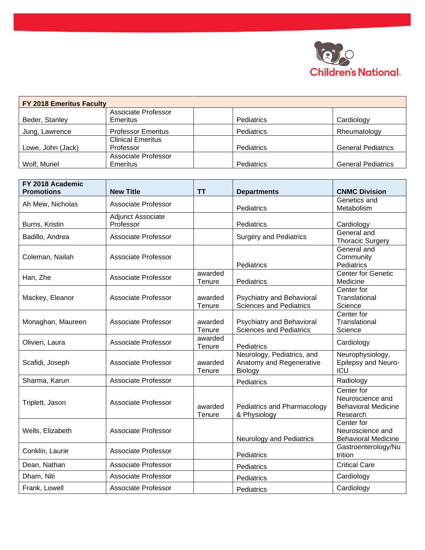

| FY 2018 Emeritus Faculty |                           |            |                           |
|--------------------------|---------------------------|------------|---------------------------|
|                          | Associate Professor       |            |                           |
| Beder, Stanley           | Emeritus                  | Pediatrics | Cardiology                |
| Jung, Lawrence           | <b>Professor Emeritus</b> | Pediatrics | Rheumatology              |
|                          | <b>Clinical Emeritus</b>  |            |                           |
| Lowe, John (Jack)        | Professor                 | Pediatrics | <b>General Pediatrics</b> |
|                          | Associate Professor       |            |                           |
| Wolf, Muriel             | Emeritus                  | Pediatrics | <b>General Pediatrics</b> |

| FY 2018 Academic  |                            |                   |                                             |                                        |
|-------------------|----------------------------|-------------------|---------------------------------------------|----------------------------------------|
| <b>Promotions</b> | <b>New Title</b>           | TΤ                | <b>Departments</b>                          | <b>CNMC Division</b>                   |
| Ah Mew, Nicholas  | Associate Professor        |                   |                                             | Genetics and                           |
|                   |                            |                   | Pediatrics                                  | Metabolism                             |
|                   | Adjunct Associate          |                   |                                             |                                        |
| Burns, Kristin    | Professor                  |                   | Pediatrics                                  | Cardiology                             |
| Badillo, Andrea   | <b>Associate Professor</b> |                   | <b>Surgery and Pediatrics</b>               | General and<br><b>Thoracic Surgery</b> |
|                   |                            |                   |                                             | General and                            |
| Coleman, Nailah   | Associate Professor        |                   |                                             | Community                              |
|                   |                            |                   | Pediatrics                                  | Pediatrics                             |
| Han, Zhe          | Associate Professor        | awarded           |                                             | <b>Center for Genetic</b>              |
|                   |                            | Tenure            | Pediatrics                                  | Medicine<br>Center for                 |
| Mackey, Eleanor   | <b>Associate Professor</b> | awarded           | Psychiatry and Behavioral                   | Translational                          |
|                   |                            | Tenure            | <b>Sciences and Pediatrics</b>              | Science                                |
|                   |                            |                   |                                             | Center for                             |
| Monaghan, Maureen | Associate Professor        | awarded           | Psychiatry and Behavioral                   | Translational                          |
|                   |                            | Tenure            | <b>Sciences and Pediatrics</b>              | Science                                |
| Olivieri, Laura   | <b>Associate Professor</b> | awarded           |                                             | Cardiology                             |
|                   |                            | Tenure            | Pediatrics                                  |                                        |
|                   |                            |                   | Neurology, Pediatrics, and                  | Neurophysiology,                       |
| Scafidi, Joseph   | Associate Professor        | awarded           | Anatomy and Regenerative                    | Epilepsy and Neuro-                    |
|                   |                            | Tenure            | Biology                                     | <b>ICU</b>                             |
| Sharma, Karun     | Associate Professor        |                   | Pediatrics                                  | Radiology                              |
|                   |                            |                   |                                             | Center for                             |
| Triplett, Jason   | <b>Associate Professor</b> |                   |                                             | Neuroscience and                       |
|                   |                            | awarded<br>Tenure | Pediatrics and Pharmacology<br>& Physiology | <b>Behavioral Medicine</b><br>Research |
|                   |                            |                   |                                             | Center for                             |
| Wells, Elizabeth  | Associate Professor        |                   |                                             | Neuroscience and                       |
|                   |                            |                   | <b>Neurology and Pediatrics</b>             | <b>Behavioral Medicine</b>             |
|                   |                            |                   |                                             | Gastroenterology/Nu                    |
| Conklin, Laurie   | Associate Professor        |                   | Pediatrics                                  | trition                                |
| Dean, Nathan      | Associate Professor        |                   | Pediatrics                                  | <b>Critical Care</b>                   |
| Dham, Niti        | <b>Associate Professor</b> |                   | Pediatrics                                  | Cardiology                             |
| Frank, Lowell     | <b>Associate Professor</b> |                   | Pediatrics                                  | Cardiology                             |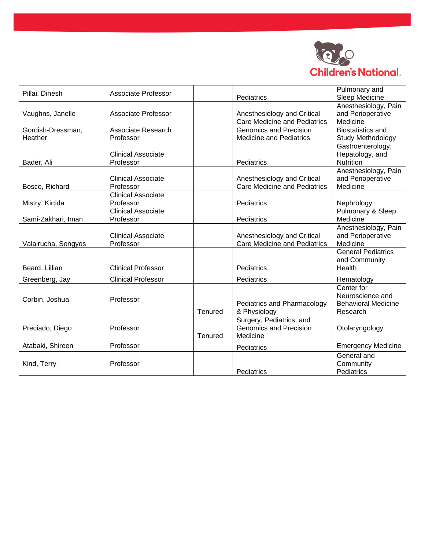

| Pillai, Dinesh      | Associate Professor       |         | Pediatrics                          | Pulmonary and<br>Sleep Medicine |
|---------------------|---------------------------|---------|-------------------------------------|---------------------------------|
|                     |                           |         |                                     | Anesthesiology, Pain            |
| Vaughns, Janelle    | Associate Professor       |         | Anesthesiology and Critical         | and Perioperative               |
|                     |                           |         | <b>Care Medicine and Pediatrics</b> | Medicine                        |
| Gordish-Dressman,   | Associate Research        |         | <b>Genomics and Precision</b>       | <b>Biostatistics and</b>        |
| Heather             | Professor                 |         | <b>Medicine and Pediatrics</b>      | Study Methodology               |
|                     |                           |         |                                     | Gastroenterology,               |
|                     | Clinical Associate        |         |                                     | Hepatology, and                 |
| Bader, Ali          | Professor                 |         | Pediatrics                          | Nutrition                       |
|                     |                           |         |                                     | Anesthesiology, Pain            |
|                     | Clinical Associate        |         | Anesthesiology and Critical         | and Perioperative               |
| Bosco, Richard      | Professor                 |         | <b>Care Medicine and Pediatrics</b> | Medicine                        |
|                     | <b>Clinical Associate</b> |         |                                     |                                 |
| Mistry, Kirtida     | Professor                 |         | Pediatrics                          | Nephrology                      |
|                     | <b>Clinical Associate</b> |         |                                     | Pulmonary & Sleep               |
| Sami-Zakhari, Iman  | Professor                 |         | Pediatrics                          | Medicine                        |
|                     |                           |         |                                     | Anesthesiology, Pain            |
|                     | Clinical Associate        |         | Anesthesiology and Critical         | and Perioperative               |
| Valairucha, Songyos | Professor                 |         | <b>Care Medicine and Pediatrics</b> | Medicine                        |
|                     |                           |         |                                     | <b>General Pediatrics</b>       |
|                     |                           |         |                                     | and Community                   |
| Beard, Lillian      | <b>Clinical Professor</b> |         | Pediatrics                          | Health                          |
| Greenberg, Jay      | <b>Clinical Professor</b> |         | Pediatrics                          | Hematology                      |
|                     |                           |         |                                     | Center for                      |
| Corbin, Joshua      | Professor                 |         |                                     | Neuroscience and                |
|                     |                           |         | Pediatrics and Pharmacology         | <b>Behavioral Medicine</b>      |
|                     |                           | Tenured | & Physiology                        | Research                        |
|                     |                           |         | Surgery, Pediatrics, and            |                                 |
| Preciado, Diego     | Professor                 |         | <b>Genomics and Precision</b>       | Otolaryngology                  |
|                     |                           | Tenured | Medicine                            |                                 |
| Atabaki, Shireen    | Professor                 |         | Pediatrics                          | <b>Emergency Medicine</b>       |
|                     |                           |         |                                     | General and                     |
| Kind, Terry         | Professor                 |         |                                     | Community                       |
|                     |                           |         | Pediatrics                          | Pediatrics                      |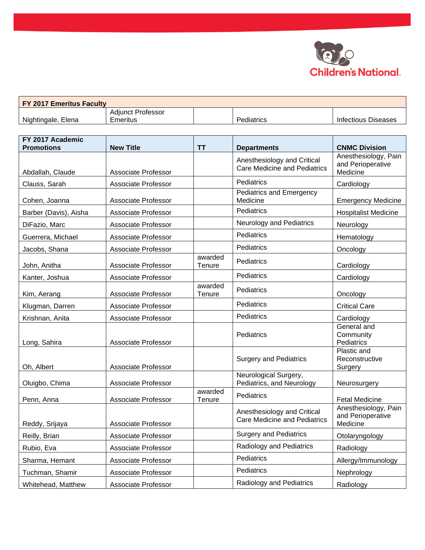

| <b>FY 2017 Emeritus Faculty</b> |                          |                   |                     |
|---------------------------------|--------------------------|-------------------|---------------------|
|                                 | <b>Adiunct Professor</b> |                   |                     |
| Nightingale, Elena              | Emeritus                 | <b>Pediatrics</b> | Infectious Diseases |

| FY 2017 Academic<br><b>Promotions</b> | <b>New Title</b>           | <b>TT</b>         | <b>Departments</b>                                                 | <b>CNMC Division</b>                                  |
|---------------------------------------|----------------------------|-------------------|--------------------------------------------------------------------|-------------------------------------------------------|
| Abdallah, Claude                      | <b>Associate Professor</b> |                   | Anesthesiology and Critical<br><b>Care Medicine and Pediatrics</b> | Anesthesiology, Pain<br>and Perioperative<br>Medicine |
| Clauss, Sarah                         | Associate Professor        |                   | Pediatrics                                                         | Cardiology                                            |
| Cohen, Joanna                         | Associate Professor        |                   | <b>Pediatrics and Emergency</b><br>Medicine                        | <b>Emergency Medicine</b>                             |
| Barber (Davis), Aisha                 | Associate Professor        |                   | Pediatrics                                                         | <b>Hospitalist Medicine</b>                           |
| DiFazio, Marc                         | <b>Associate Professor</b> |                   | <b>Neurology and Pediatrics</b>                                    | Neurology                                             |
| Guerrera, Michael                     | <b>Associate Professor</b> |                   | Pediatrics                                                         | Hematology                                            |
| Jacobs, Shana                         | Associate Professor        |                   | Pediatrics                                                         | Oncology                                              |
| John, Anitha                          | Associate Professor        | awarded<br>Tenure | Pediatrics                                                         | Cardiology                                            |
| Kanter, Joshua                        | <b>Associate Professor</b> |                   | Pediatrics                                                         | Cardiology                                            |
| Kim, Aerang                           | Associate Professor        | awarded<br>Tenure | Pediatrics                                                         | Oncology                                              |
| Klugman, Darren                       | <b>Associate Professor</b> |                   | Pediatrics                                                         | <b>Critical Care</b>                                  |
| Krishnan, Anita                       | <b>Associate Professor</b> |                   | Pediatrics                                                         | Cardiology                                            |
| Long, Sahira                          | Associate Professor        |                   | Pediatrics                                                         | General and<br>Community<br>Pediatrics                |
| Oh, Albert                            | <b>Associate Professor</b> |                   | <b>Surgery and Pediatrics</b>                                      | Plastic and<br>Reconstructive<br>Surgery              |
| Oluigbo, Chima                        | <b>Associate Professor</b> |                   | Neurological Surgery,<br>Pediatrics, and Neurology                 | Neurosurgery                                          |
| Penn, Anna                            | Associate Professor        | awarded<br>Tenure | Pediatrics                                                         | <b>Fetal Medicine</b>                                 |
| Reddy, Srijaya                        | <b>Associate Professor</b> |                   | Anesthesiology and Critical<br><b>Care Medicine and Pediatrics</b> | Anesthesiology, Pain<br>and Perioperative<br>Medicine |
| Reilly, Brian                         | Associate Professor        |                   | <b>Surgery and Pediatrics</b>                                      | Otolaryngology                                        |
| Rubio, Eva                            | Associate Professor        |                   | Radiology and Pediatrics                                           | Radiology                                             |
| Sharma, Hemant                        | Associate Professor        |                   | Pediatrics                                                         | Allergy/Immunology                                    |
| Tuchman, Shamir                       | <b>Associate Professor</b> |                   | Pediatrics                                                         | Nephrology                                            |
| Whitehead, Matthew                    | Associate Professor        |                   | Radiology and Pediatrics                                           | Radiology                                             |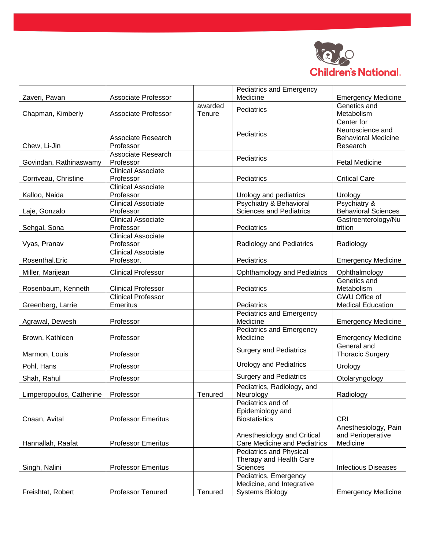

|                          |                                         |                   | Pediatrics and Emergency                                                     |                                                                          |
|--------------------------|-----------------------------------------|-------------------|------------------------------------------------------------------------------|--------------------------------------------------------------------------|
| Zaveri, Pavan            | <b>Associate Professor</b>              |                   | Medicine                                                                     | <b>Emergency Medicine</b>                                                |
| Chapman, Kimberly        | <b>Associate Professor</b>              | awarded<br>Tenure | Pediatrics                                                                   | Genetics and<br>Metabolism                                               |
| Chew, Li-Jin             | Associate Research<br>Professor         |                   | Pediatrics                                                                   | Center for<br>Neuroscience and<br><b>Behavioral Medicine</b><br>Research |
| Govindan, Rathinaswamy   | Associate Research<br>Professor         |                   | Pediatrics                                                                   | <b>Fetal Medicine</b>                                                    |
| Corriveau, Christine     | <b>Clinical Associate</b><br>Professor  |                   | Pediatrics                                                                   | <b>Critical Care</b>                                                     |
| Kalloo, Naida            | <b>Clinical Associate</b><br>Professor  |                   | Urology and pediatrics                                                       | Urology                                                                  |
| Laje, Gonzalo            | <b>Clinical Associate</b><br>Professor  |                   | Psychiatry & Behavioral<br><b>Sciences and Pediatrics</b>                    | Psychiatry &<br><b>Behavioral Sciences</b>                               |
| Sehgal, Sona             | <b>Clinical Associate</b><br>Professor  |                   | Pediatrics                                                                   | Gastroenterology/Nu<br>trition                                           |
| Vyas, Pranav             | <b>Clinical Associate</b><br>Professor  |                   | <b>Radiology and Pediatrics</b>                                              | Radiology                                                                |
| Rosenthal.Eric           | <b>Clinical Associate</b><br>Professor. |                   | Pediatrics                                                                   | <b>Emergency Medicine</b>                                                |
| Miller, Marijean         | <b>Clinical Professor</b>               |                   | Ophthamology and Pediatrics                                                  | Ophthalmology                                                            |
| Rosenbaum, Kenneth       | <b>Clinical Professor</b>               |                   | Pediatrics                                                                   | Genetics and<br>Metabolism                                               |
| Greenberg, Larrie        | Clinical Professor<br><b>Emeritus</b>   |                   | Pediatrics                                                                   | GWU Office of<br><b>Medical Education</b>                                |
| Agrawal, Dewesh          | Professor                               |                   | Pediatrics and Emergency<br>Medicine                                         | <b>Emergency Medicine</b>                                                |
| Brown, Kathleen          | Professor                               |                   | <b>Pediatrics and Emergency</b><br>Medicine                                  | <b>Emergency Medicine</b>                                                |
| Marmon, Louis            | Professor                               |                   | <b>Surgery and Pediatrics</b>                                                | General and<br><b>Thoracic Surgery</b>                                   |
| Pohl, Hans               | Professor                               |                   | <b>Urology and Pediatrics</b>                                                | Urology                                                                  |
| Shah, Rahul              | Professor                               |                   | <b>Surgery and Pediatrics</b>                                                | Otolaryngology                                                           |
| Limperopoulos, Catherine | Professor                               | Tenured           | Pediatrics, Radiology, and<br>Neurology                                      | Radiology                                                                |
| Cnaan, Avital            | <b>Professor Emeritus</b>               |                   | Pediatrics and of<br>Epidemiology and<br><b>Biostatistics</b>                | <b>CRI</b>                                                               |
| Hannallah, Raafat        | <b>Professor Emeritus</b>               |                   | Anesthesiology and Critical<br>Care Medicine and Pediatrics                  | Anesthesiology, Pain<br>and Perioperative<br>Medicine                    |
| Singh, Nalini            | <b>Professor Emeritus</b>               |                   | <b>Pediatrics and Physical</b><br>Therapy and Health Care<br>Sciences        | <b>Infectious Diseases</b>                                               |
| Freishtat, Robert        | Professor Tenured                       | Tenured           | Pediatrics, Emergency<br>Medicine, and Integrative<br><b>Systems Biology</b> | <b>Emergency Medicine</b>                                                |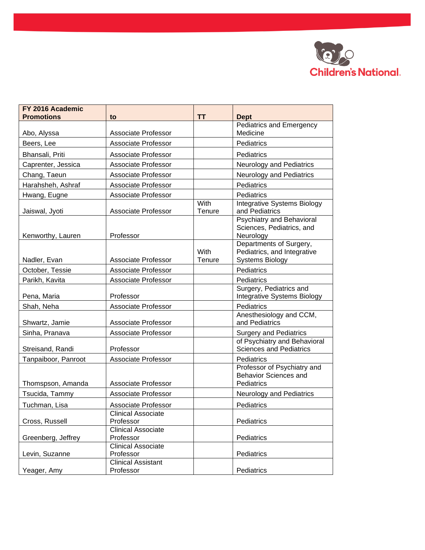

| FY 2016 Academic<br><b>Promotions</b> | to                                     | <b>TT</b>      | <b>Dept</b>                                                                      |
|---------------------------------------|----------------------------------------|----------------|----------------------------------------------------------------------------------|
|                                       |                                        |                | Pediatrics and Emergency                                                         |
| Abo, Alyssa                           | Associate Professor                    |                | Medicine                                                                         |
| Beers, Lee                            | Associate Professor                    |                | Pediatrics                                                                       |
| Bhansali, Priti                       | <b>Associate Professor</b>             |                | Pediatrics                                                                       |
| Caprenter, Jessica                    | <b>Associate Professor</b>             |                | Neurology and Pediatrics                                                         |
| Chang, Taeun                          | <b>Associate Professor</b>             |                | Neurology and Pediatrics                                                         |
| Harahsheh, Ashraf                     | <b>Associate Professor</b>             |                | Pediatrics                                                                       |
| Hwang, Eugne                          | Associate Professor                    |                | Pediatrics                                                                       |
| Jaiswal, Jyoti                        | <b>Associate Professor</b>             | With<br>Tenure | <b>Integrative Systems Biology</b><br>and Pediatrics                             |
| Kenworthy, Lauren                     | Professor                              |                | Psychiatry and Behavioral<br>Sciences, Pediatrics, and<br>Neurology              |
| Nadler, Evan                          | <b>Associate Professor</b>             | With<br>Tenure | Departments of Surgery,<br>Pediatrics, and Integrative<br><b>Systems Biology</b> |
| October, Tessie                       | <b>Associate Professor</b>             |                | Pediatrics                                                                       |
| Parikh, Kavita                        | <b>Associate Professor</b>             |                | Pediatrics                                                                       |
| Pena, Maria                           | Professor                              |                | Surgery, Pediatrics and<br><b>Integrative Systems Biology</b>                    |
| Shah, Neha                            | Associate Professor                    |                | Pediatrics                                                                       |
| Shwartz, Jamie                        | Associate Professor                    |                | Anesthesiology and CCM,<br>and Pediatrics                                        |
| Sinha, Pranava                        | <b>Associate Professor</b>             |                | <b>Surgery and Pediatrics</b>                                                    |
| Streisand, Randi                      | Professor                              |                | of Psychiatry and Behavioral<br><b>Sciences and Pediatrics</b>                   |
| Tanpaiboor, Panroot                   | Associate Professor                    |                | Pediatrics                                                                       |
| Thomspson, Amanda                     | <b>Associate Professor</b>             |                | Professor of Psychiatry and<br><b>Behavior Sciences and</b><br>Pediatrics        |
| Tsucida, Tammy                        | Associate Professor                    |                | Neurology and Pediatrics                                                         |
| Tuchman, Lisa                         | Associate Professor                    |                | Pediatrics                                                                       |
| Cross, Russell                        | <b>Clinical Associate</b><br>Professor |                | Pediatrics                                                                       |
| Greenberg, Jeffrey                    | <b>Clinical Associate</b><br>Professor |                | Pediatrics                                                                       |
| Levin, Suzanne                        | <b>Clinical Associate</b><br>Professor |                | Pediatrics                                                                       |
| Yeager, Amy                           | <b>Clinical Assistant</b><br>Professor |                | Pediatrics                                                                       |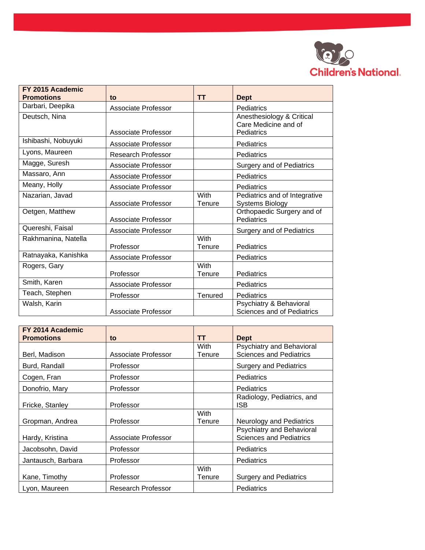

| FY 2015 Academic    |                            |                       |                                                                 |
|---------------------|----------------------------|-----------------------|-----------------------------------------------------------------|
| <b>Promotions</b>   | to                         | <b>TT</b>             | <b>Dept</b>                                                     |
| Darbari, Deepika    | Associate Professor        |                       | Pediatrics                                                      |
| Deutsch, Nina       | Associate Professor        |                       | Anesthesiology & Critical<br>Care Medicine and of<br>Pediatrics |
| Ishibashi, Nobuyuki | Associate Professor        |                       | Pediatrics                                                      |
| Lyons, Maureen      | Research Professor         |                       | Pediatrics                                                      |
| Magge, Suresh       | Associate Professor        |                       | <b>Surgery and of Pediatrics</b>                                |
| Massaro, Ann        | Associate Professor        |                       | Pediatrics                                                      |
| Meany, Holly        | Associate Professor        |                       | Pediatrics                                                      |
| Nazarian, Javad     | <b>Associate Professor</b> | With<br>Tenure        | Pediatrics and of Integrative<br><b>Systems Biology</b>         |
| Oetgen, Matthew     | <b>Associate Professor</b> |                       | Orthopaedic Surgery and of<br>Pediatrics                        |
| Quereshi, Faisal    | Associate Professor        |                       | <b>Surgery and of Pediatrics</b>                                |
| Rakhmanina, Natella | Professor                  | With<br>Tenure        | Pediatrics                                                      |
| Ratnayaka, Kanishka | <b>Associate Professor</b> |                       | Pediatrics                                                      |
| Rogers, Gary        | Professor                  | <b>With</b><br>Tenure | Pediatrics                                                      |
| Smith, Karen        | Associate Professor        |                       | Pediatrics                                                      |
| Teach, Stephen      | Professor                  | Tenured               | Pediatrics                                                      |
| Walsh, Karin        | Associate Professor        |                       | Psychiatry & Behavioral<br>Sciences and of Pediatrics           |

| FY 2014 Academic<br><b>Promotions</b> | to                  | TΤ                    | <b>Dept</b>                                                 |
|---------------------------------------|---------------------|-----------------------|-------------------------------------------------------------|
|                                       |                     | With                  | Psychiatry and Behavioral                                   |
| Berl, Madison                         | Associate Professor | Tenure                | <b>Sciences and Pediatrics</b>                              |
| Burd, Randall                         | Professor           |                       | <b>Surgery and Pediatrics</b>                               |
| Cogen, Fran                           | Professor           |                       | Pediatrics                                                  |
| Donofrio, Mary                        | Professor           |                       | Pediatrics                                                  |
| Fricke, Stanley                       | Professor           |                       | Radiology, Pediatrics, and<br><b>ISB</b>                    |
| Gropman, Andrea                       | Professor           | <b>With</b><br>Tenure | <b>Neurology and Pediatrics</b>                             |
| Hardy, Kristina                       | Associate Professor |                       | Psychiatry and Behavioral<br><b>Sciences and Pediatrics</b> |
| Jacobsohn, David                      | Professor           |                       | Pediatrics                                                  |
| Jantausch, Barbara                    | Professor           |                       | Pediatrics                                                  |
| Kane, Timothy                         | Professor           | With<br>Tenure        | <b>Surgery and Pediatrics</b>                               |
| Lyon, Maureen                         | Research Professor  |                       | <b>Pediatrics</b>                                           |